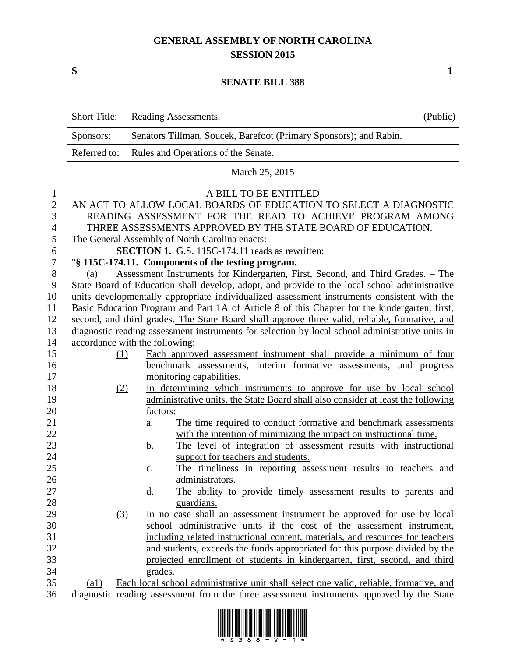## **GENERAL ASSEMBLY OF NORTH CAROLINA SESSION 2015**

**S 1**

## **SENATE BILL 388**

|                  | <b>Short Title:</b>                                                                                          | Reading Assessments.                                                                                                 | (Public) |  |
|------------------|--------------------------------------------------------------------------------------------------------------|----------------------------------------------------------------------------------------------------------------------|----------|--|
|                  | Senators Tillman, Soucek, Barefoot (Primary Sponsors); and Rabin.<br>Sponsors:                               |                                                                                                                      |          |  |
|                  | Referred to:                                                                                                 | Rules and Operations of the Senate.                                                                                  |          |  |
|                  | March 25, 2015                                                                                               |                                                                                                                      |          |  |
| $\mathbf{1}$     | A BILL TO BE ENTITLED                                                                                        |                                                                                                                      |          |  |
| $\overline{2}$   |                                                                                                              | AN ACT TO ALLOW LOCAL BOARDS OF EDUCATION TO SELECT A DIAGNOSTIC                                                     |          |  |
| 3                |                                                                                                              | READING ASSESSMENT FOR THE READ TO ACHIEVE PROGRAM AMONG                                                             |          |  |
| $\overline{4}$   |                                                                                                              | THREE ASSESSMENTS APPROVED BY THE STATE BOARD OF EDUCATION.                                                          |          |  |
| 5                |                                                                                                              | The General Assembly of North Carolina enacts:                                                                       |          |  |
| 6                | <b>SECTION 1.</b> G.S. 115C-174.11 reads as rewritten:                                                       |                                                                                                                      |          |  |
| $\boldsymbol{7}$ | "§ 115C-174.11. Components of the testing program.                                                           |                                                                                                                      |          |  |
| $8\,$            | Assessment Instruments for Kindergarten, First, Second, and Third Grades. - The<br>(a)                       |                                                                                                                      |          |  |
| 9                | State Board of Education shall develop, adopt, and provide to the local school administrative                |                                                                                                                      |          |  |
| 10               | units developmentally appropriate individualized assessment instruments consistent with the                  |                                                                                                                      |          |  |
| 11               | Basic Education Program and Part 1A of Article 8 of this Chapter for the kindergarten, first,                |                                                                                                                      |          |  |
| 12               | second, and third grades. The State Board shall approve three valid, reliable, formative, and                |                                                                                                                      |          |  |
| 13               |                                                                                                              | diagnostic reading assessment instruments for selection by local school administrative units in                      |          |  |
| 14               | accordance with the following:                                                                               |                                                                                                                      |          |  |
| 15               | (1)                                                                                                          | Each approved assessment instrument shall provide a minimum of four                                                  |          |  |
| 16               |                                                                                                              | benchmark assessments, interim formative assessments, and progress                                                   |          |  |
| 17               |                                                                                                              | monitoring capabilities.                                                                                             |          |  |
| 18               | (2)                                                                                                          | In determining which instruments to approve for use by local school                                                  |          |  |
| 19               |                                                                                                              | administrative units, the State Board shall also consider at least the following                                     |          |  |
| 20               |                                                                                                              | factors:                                                                                                             |          |  |
| 21               |                                                                                                              | The time required to conduct formative and benchmark assessments<br>a.                                               |          |  |
| 22               |                                                                                                              | with the intention of minimizing the impact on instructional time.                                                   |          |  |
| 23<br>24         |                                                                                                              | The level of integration of assessment results with instructional<br><u>b.</u><br>support for teachers and students. |          |  |
| 25               |                                                                                                              | The timeliness in reporting assessment results to teachers and                                                       |          |  |
| 26               |                                                                                                              | $\underline{c}$ .<br>administrators.                                                                                 |          |  |
| 27               |                                                                                                              | The ability to provide timely assessment results to parents and<br><u>d.</u>                                         |          |  |
| 28               |                                                                                                              | guardians.                                                                                                           |          |  |
| 29               | $\left(3\right)$                                                                                             | In no case shall an assessment instrument be approved for use by local                                               |          |  |
| 30               |                                                                                                              | school administrative units if the cost of the assessment instrument,                                                |          |  |
| 31               | including related instructional content, materials, and resources for teachers                               |                                                                                                                      |          |  |
| 32               |                                                                                                              | and students, exceeds the funds appropriated for this purpose divided by the                                         |          |  |
| 33               |                                                                                                              | projected enrollment of students in kindergarten, first, second, and third                                           |          |  |
| 34               |                                                                                                              | grades.                                                                                                              |          |  |
| 35               | Each local school administrative unit shall select one valid, reliable, formative, and<br>$\left( a1\right)$ |                                                                                                                      |          |  |
| 36               | diagnostic reading assessment from the three assessment instruments approved by the State                    |                                                                                                                      |          |  |